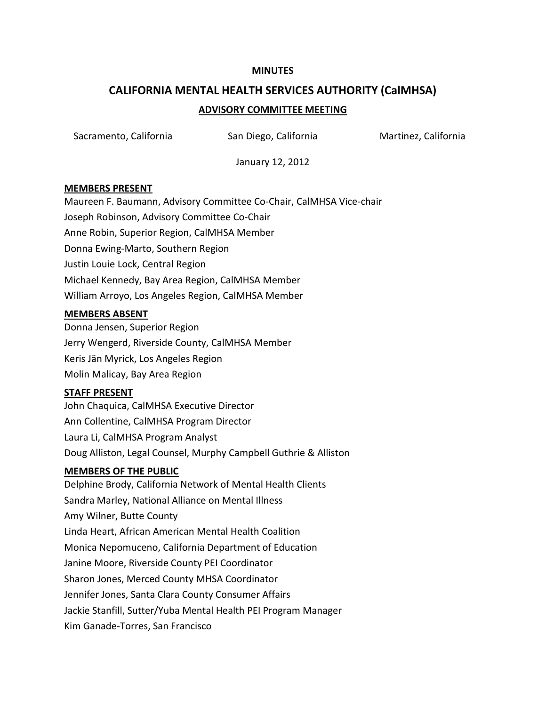#### **MINUTES**

# **CALIFORNIA MENTAL HEALTH SERVICES AUTHORITY (CalMHSA) ADVISORY COMMITTEE MEETING**

Sacramento, California **San Diego, California** Martinez, California

January 12, 2012

## **MEMBERS PRESENT**

Maureen F. Baumann, Advisory Committee Co-Chair, CalMHSA Vice-chair Joseph Robinson, Advisory Committee Co-Chair Anne Robin, Superior Region, CalMHSA Member Donna Ewing-Marto, Southern Region Justin Louie Lock, Central Region Michael Kennedy, Bay Area Region, CalMHSA Member William Arroyo, Los Angeles Region, CalMHSA Member

#### **MEMBERS ABSENT**

Donna Jensen, Superior Region Jerry Wengerd, Riverside County, CalMHSA Member Keris Jän Myrick, Los Angeles Region Molin Malicay, Bay Area Region

#### **STAFF PRESENT**

John Chaquica, CalMHSA Executive Director Ann Collentine, CalMHSA Program Director Laura Li, CalMHSA Program Analyst Doug Alliston, Legal Counsel, Murphy Campbell Guthrie & Alliston

## **MEMBERS OF THE PUBLIC**

Delphine Brody, California Network of Mental Health Clients Sandra Marley, National Alliance on Mental Illness Amy Wilner, Butte County Linda Heart, African American Mental Health Coalition Monica Nepomuceno, California Department of Education Janine Moore, Riverside County PEI Coordinator Sharon Jones, Merced County MHSA Coordinator Jennifer Jones, Santa Clara County Consumer Affairs Jackie Stanfill, Sutter/Yuba Mental Health PEI Program Manager Kim Ganade-Torres, San Francisco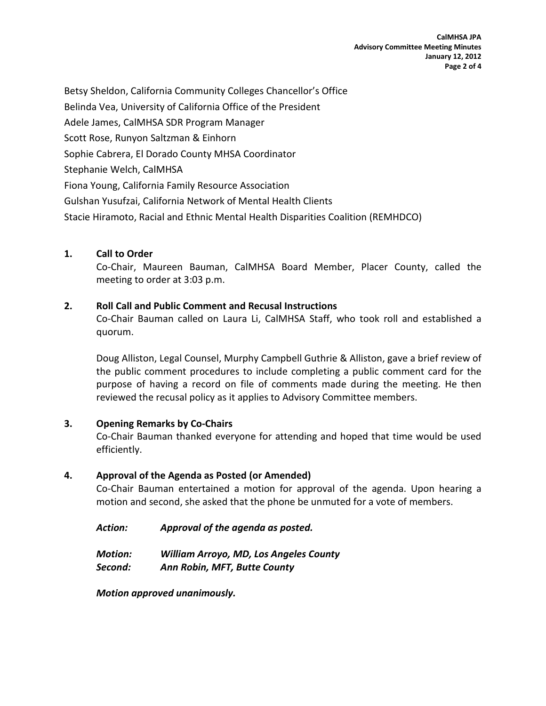Betsy Sheldon, California Community Colleges Chancellor's Office Belinda Vea, University of California Office of the President Adele James, CalMHSA SDR Program Manager Scott Rose, Runyon Saltzman & Einhorn Sophie Cabrera, El Dorado County MHSA Coordinator Stephanie Welch, CalMHSA Fiona Young, California Family Resource Association Gulshan Yusufzai, California Network of Mental Health Clients Stacie Hiramoto, Racial and Ethnic Mental Health Disparities Coalition (REMHDCO)

# **1. Call to Order**

Co-Chair, Maureen Bauman, CalMHSA Board Member, Placer County, called the meeting to order at 3:03 p.m.

# **2. Roll Call and Public Comment and Recusal Instructions**

Co-Chair Bauman called on Laura Li, CalMHSA Staff, who took roll and established a quorum.

Doug Alliston, Legal Counsel, Murphy Campbell Guthrie & Alliston, gave a brief review of the public comment procedures to include completing a public comment card for the purpose of having a record on file of comments made during the meeting. He then reviewed the recusal policy as it applies to Advisory Committee members.

# **3. Opening Remarks by Co-Chairs**

Co-Chair Bauman thanked everyone for attending and hoped that time would be used efficiently.

# **4. Approval of the Agenda as Posted (or Amended)**

Co-Chair Bauman entertained a motion for approval of the agenda. Upon hearing a motion and second, she asked that the phone be unmuted for a vote of members.

| Action: | Approval of the agenda as posted. |
|---------|-----------------------------------|
|---------|-----------------------------------|

| Motion: | <b>William Arroyo, MD, Los Angeles County</b> |
|---------|-----------------------------------------------|
| Second: | Ann Robin, MFT, Butte County                  |

*Motion approved unanimously.*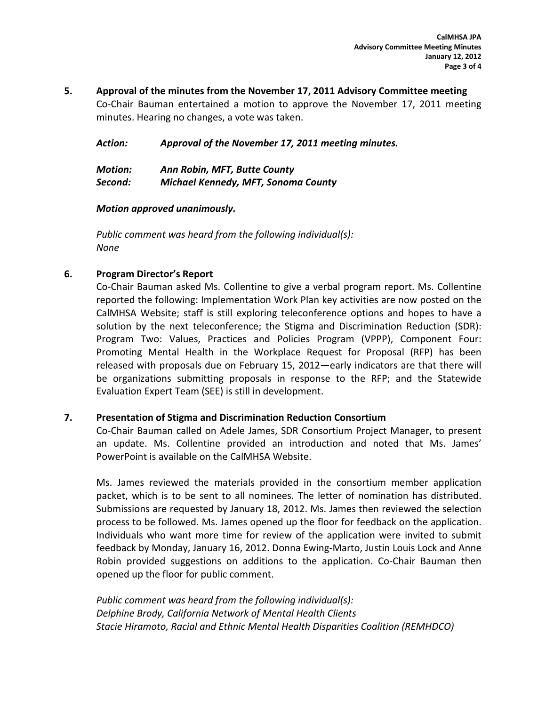**5. Approval of the minutes from the November 17, 2011 Advisory Committee meeting** Co-Chair Bauman entertained a motion to approve the November 17, 2011 meeting minutes. Hearing no changes, a vote was taken.

*Action: Approval of the November 17, 2011 meeting minutes.*

| <b>Motion:</b> | Ann Robin, MFT, Butte County               |
|----------------|--------------------------------------------|
| Second:        | <b>Michael Kennedy, MFT, Sonoma County</b> |

## *Motion approved unanimously.*

*Public comment was heard from the following individual(s): None*

## **6. Program Director's Report**

Co-Chair Bauman asked Ms. Collentine to give a verbal program report. Ms. Collentine reported the following: Implementation Work Plan key activities are now posted on the CalMHSA Website; staff is still exploring teleconference options and hopes to have a solution by the next teleconference; the Stigma and Discrimination Reduction (SDR): Program Two: Values, Practices and Policies Program (VPPP), Component Four: Promoting Mental Health in the Workplace Request for Proposal (RFP) has been released with proposals due on February 15, 2012—early indicators are that there will be organizations submitting proposals in response to the RFP; and the Statewide Evaluation Expert Team (SEE) is still in development.

## **7. Presentation of Stigma and Discrimination Reduction Consortium**

Co-Chair Bauman called on Adele James, SDR Consortium Project Manager, to present an update. Ms. Collentine provided an introduction and noted that Ms. James' PowerPoint is available on the CalMHSA Website.

Ms. James reviewed the materials provided in the consortium member application packet, which is to be sent to all nominees. The letter of nomination has distributed. Submissions are requested by January 18, 2012. Ms. James then reviewed the selection process to be followed. Ms. James opened up the floor for feedback on the application. Individuals who want more time for review of the application were invited to submit feedback by Monday, January 16, 2012. Donna Ewing-Marto, Justin Louis Lock and Anne Robin provided suggestions on additions to the application. Co-Chair Bauman then opened up the floor for public comment.

*Public comment was heard from the following individual(s): Delphine Brody, California Network of Mental Health Clients Stacie Hiramoto, Racial and Ethnic Mental Health Disparities Coalition (REMHDCO)*